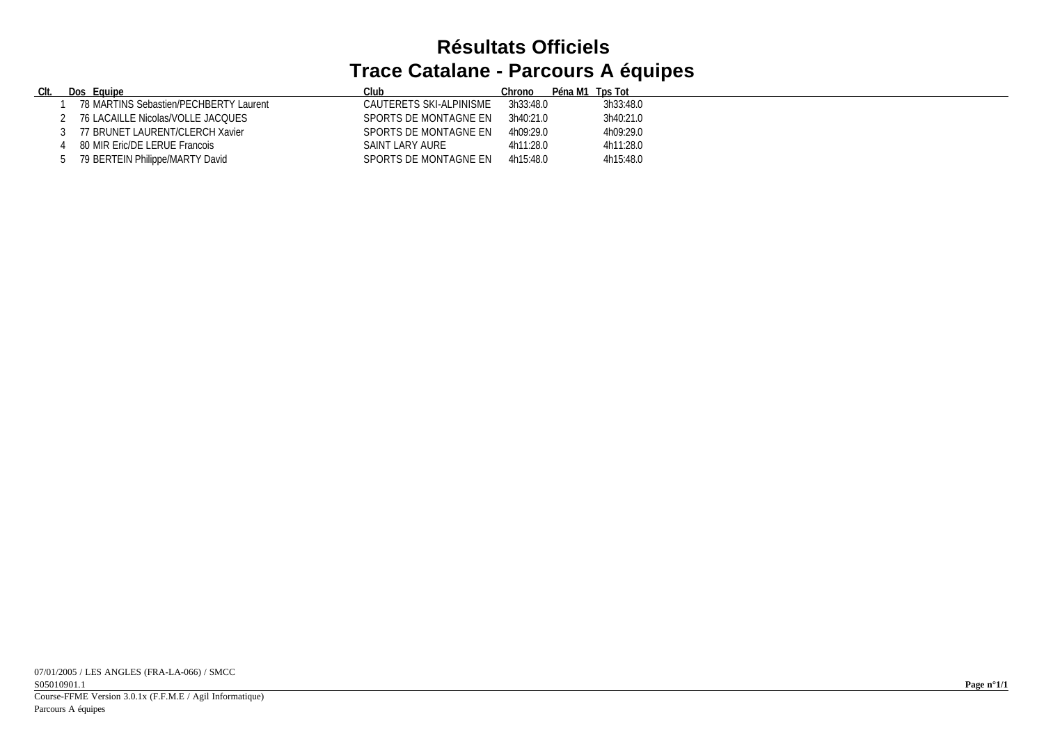## **Résultats Officiels Trace Catalane - Parcours A équipes**

| <u>CIt.</u> | Dos Equipe                             | Club                    | Chrono    | Péna M1 Tps Tot |           |
|-------------|----------------------------------------|-------------------------|-----------|-----------------|-----------|
|             | 78 MARTINS Sebastien/PECHBERTY Laurent | CAUTERETS SKI-ALPINISME | 3h33:48.0 |                 | 3h33:48.0 |
|             | 76 LACAILLE Nicolas/VOLLE JACQUES      | SPORTS DE MONTAGNE EN   | 3h40:21.0 |                 | 3h40:21.0 |
|             | 77 BRUNET LAURENT/CLERCH Xavier        | SPORTS DE MONTAGNE EN   | 4h09:29.0 |                 | 4h09:29.0 |
|             | 80 MIR Eric/DE LERUE Francois          | SAINT LARY AURE         | 4h11:28.0 |                 | 4h11:28.0 |
|             | 79 BERTEIN Philippe/MARTY David        | SPORTS DE MONTAGNE EN   | 4h15:48.0 |                 | 4h15:48.0 |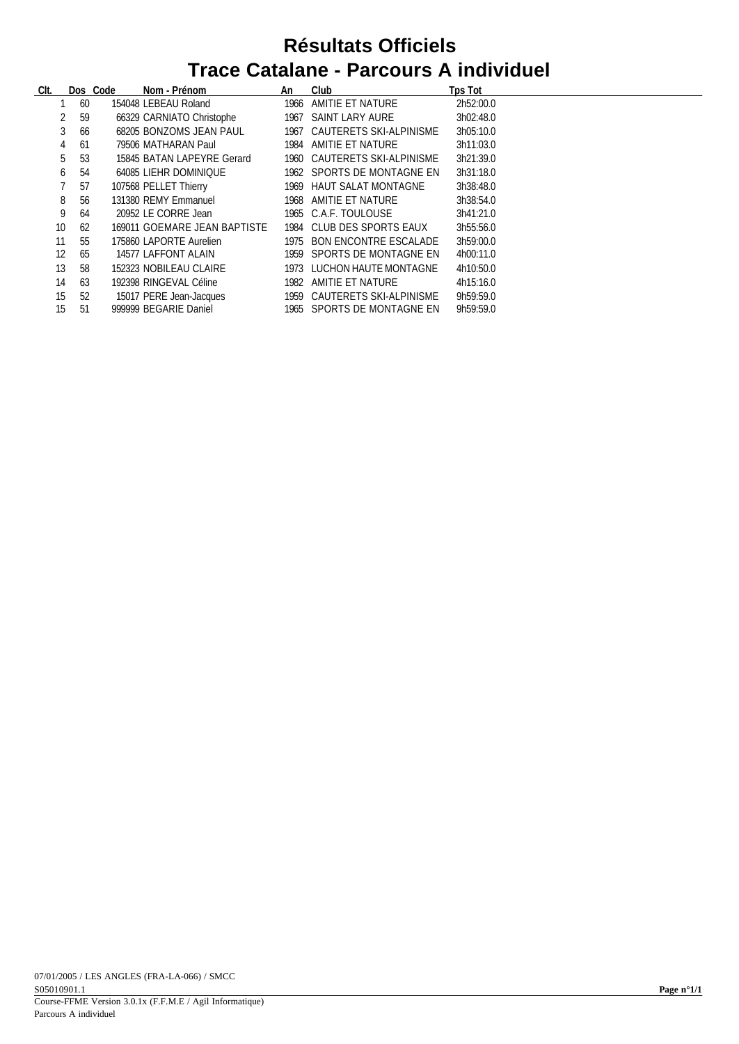## **Résultats Officiels Trace Catalane - Parcours A individuel**

| CIt. |         | Dos Code | Nom - Prénom                 | An   | Club                         | <b>Tps Tot</b> |
|------|---------|----------|------------------------------|------|------------------------------|----------------|
|      | 60      |          | 154048 LEBEAU Roland         | 1966 | AMITIE ET NATURE             | 2h52:00.0      |
|      | 2<br>59 |          | 66329 CARNIATO Christophe    |      | 1967 SAINT LARY AURE         | 3h02:48.0      |
|      | 3<br>66 |          | 68205 BONZOMS JEAN PAUL      |      | 1967 CAUTERETS SKI-ALPINISME | 3h05:10.0      |
|      | 61<br>4 |          | 79506 MATHARAN Paul          | 1984 | AMITIE ET NATURE             | 3h11:03.0      |
|      | 5<br>53 |          | 15845 BATAN LAPEYRE Gerard   |      | 1960 CAUTERETS SKI-ALPINISME | 3h21:39.0      |
|      | 54<br>6 |          | 64085 LIEHR DOMINIQUE        |      | 1962 SPORTS DE MONTAGNE EN   | 3h31:18.0      |
|      | 7<br>57 |          | 107568 PELLET Thierry        | 1969 | HAUT SALAT MONTAGNE          | 3h38:48.0      |
|      | 8<br>56 |          | 131380 REMY Emmanuel         | 1968 | AMITIE ET NATURE             | 3h38:54.0      |
|      | 9<br>64 |          | 20952 LE CORRE Jean          |      | 1965 C.A.F. TOULOUSE         | 3h41:21.0      |
| 10   | 62      |          | 169011 GOEMARE JEAN BAPTISTE | 1984 | CLUB DES SPORTS EAUX         | 3h55:56.0      |
| 11   | 55      |          | 175860 LAPORTE Aurelien      |      | 1975 BON ENCONTRE ESCALADE   | 3h59:00.0      |
| 12   | 65      |          | 14577 LAFFONT ALAIN          |      | 1959 SPORTS DE MONTAGNE EN   | 4h00:11.0      |
| 13   | 58      |          | 152323 NOBILEAU CLAIRE       |      | 1973 LUCHON HAUTE MONTAGNE   | 4h10:50.0      |
| 14   | 63      |          | 192398 RINGEVAL Céline       | 1982 | AMITIE ET NATURE             | 4h15:16.0      |
| 15   | 52      |          | 15017 PERE Jean-Jacques      | 1959 | CAUTERETS SKI-ALPINISME      | 9h59:59.0      |
| 15   | 51      |          | 999999 BEGARIE Daniel        |      | 1965 SPORTS DE MONTAGNE EN   | 9h59:59.0      |